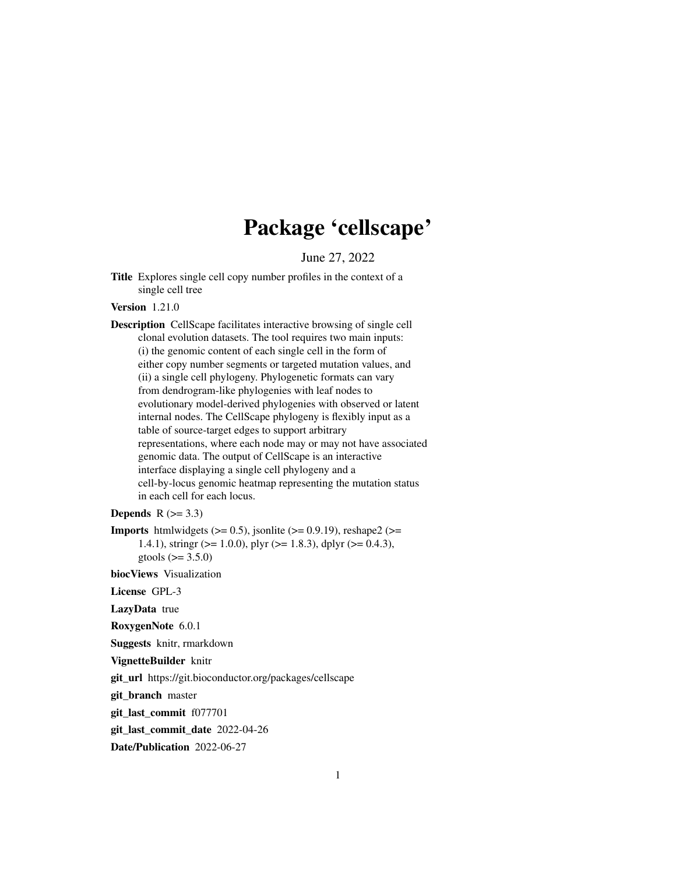# Package 'cellscape'

June 27, 2022

Title Explores single cell copy number profiles in the context of a single cell tree

Version 1.21.0

Description CellScape facilitates interactive browsing of single cell clonal evolution datasets. The tool requires two main inputs: (i) the genomic content of each single cell in the form of either copy number segments or targeted mutation values, and (ii) a single cell phylogeny. Phylogenetic formats can vary from dendrogram-like phylogenies with leaf nodes to evolutionary model-derived phylogenies with observed or latent internal nodes. The CellScape phylogeny is flexibly input as a table of source-target edges to support arbitrary representations, where each node may or may not have associated genomic data. The output of CellScape is an interactive interface displaying a single cell phylogeny and a cell-by-locus genomic heatmap representing the mutation status in each cell for each locus.

**Depends**  $R$  ( $>= 3.3$ )

**Imports** htmlwidgets  $(>= 0.5)$ , jsonlite  $(>= 0.9.19)$ , reshape2  $(>= 0.9.19)$ 1.4.1), stringr ( $> = 1.0.0$ ), plyr ( $> = 1.8.3$ ), dplyr ( $> = 0.4.3$ ), gtools  $(>= 3.5.0)$ 

biocViews Visualization

License GPL-3

LazyData true

RoxygenNote 6.0.1

Suggests knitr, rmarkdown

VignetteBuilder knitr

git\_url https://git.bioconductor.org/packages/cellscape

git\_branch master

git\_last\_commit f077701

git last commit date 2022-04-26

Date/Publication 2022-06-27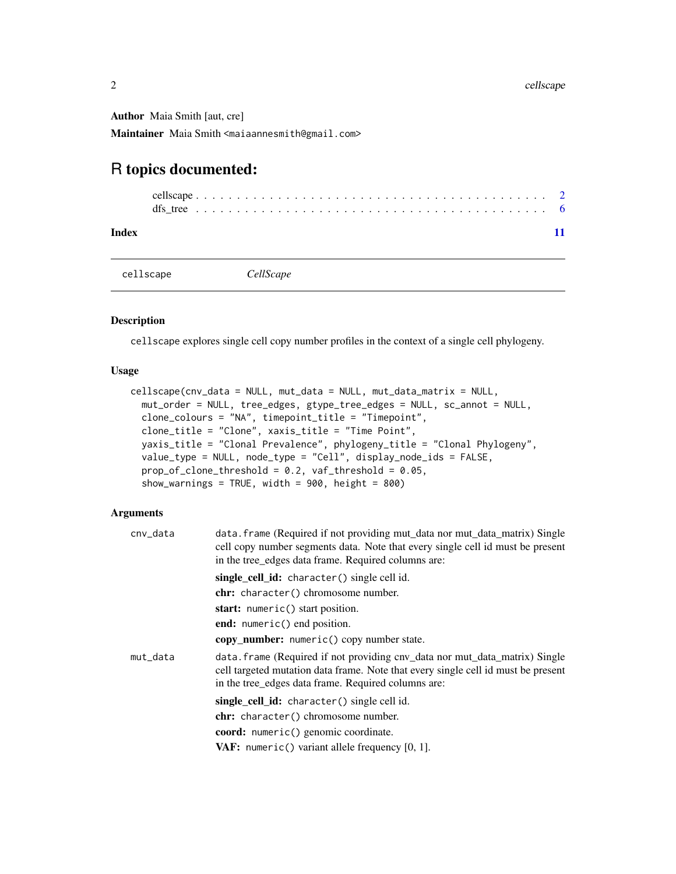<span id="page-1-0"></span>Author Maia Smith [aut, cre]

Maintainer Maia Smith <maiaannesmith@gmail.com>

## R topics documented:

**Index** [11](#page-10-0)

cellscape *CellScape*

#### Description

cellscape explores single cell copy number profiles in the context of a single cell phylogeny.

#### Usage

```
cellscape(cnv_data = NULL, mut_data = NULL, mut_data_matrix = NULL,
 mut_order = NULL, tree_edges, gtype_tree_edges = NULL, sc_annot = NULL,
 clone_colours = "NA", timepoint_title = "Timepoint",
  clone_title = "Clone", xaxis_title = "Time Point",
 yaxis_title = "Clonal Prevalence", phylogeny_title = "Clonal Phylogeny",
  value_type = NULL, node_type = "Cell", display_node_ids = FALSE,
 prop_of_clone_threshold = 0.2, vaf_threshold = 0.05,
  show_warnings = TRUE, width = 900, height = 800)
```
#### Arguments

| cnv_data | data. frame (Required if not providing mut_data nor mut_data_matrix) Single<br>cell copy number segments data. Note that every single cell id must be present<br>in the tree_edges data frame. Required columns are:    |
|----------|-------------------------------------------------------------------------------------------------------------------------------------------------------------------------------------------------------------------------|
|          | single_cell_id: character() single cell id.                                                                                                                                                                             |
|          | chr: character() chromosome number.                                                                                                                                                                                     |
|          | start: numeric() start position.                                                                                                                                                                                        |
|          | end: numeric() end position.                                                                                                                                                                                            |
|          | copy number: numeric() copy number state.                                                                                                                                                                               |
| mut_data | data. frame (Required if not providing cnv_data nor mut_data_matrix) Single<br>cell targeted mutation data frame. Note that every single cell id must be present<br>in the tree_edges data frame. Required columns are: |
|          | single cell id: character() single cell id.                                                                                                                                                                             |
|          | chr: character() chromosome number.                                                                                                                                                                                     |
|          | coord: numeric() genomic coordinate.                                                                                                                                                                                    |
|          | <b>VAF:</b> numeric() variant allele frequency $[0, 1]$ .                                                                                                                                                               |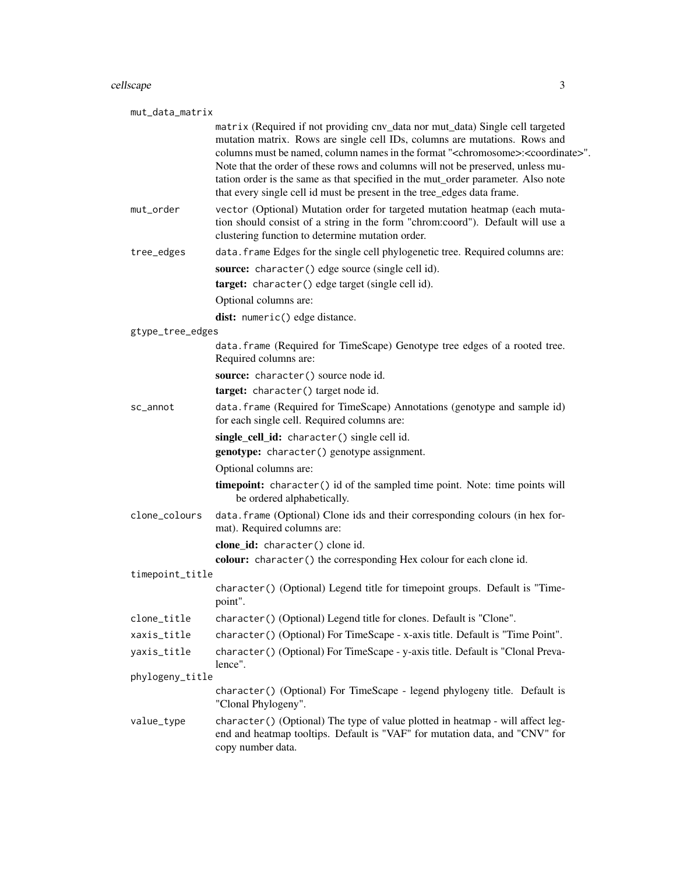#### cellscape 3

| mut_data_matrix  |                                                                                                                                                                                                                                                                                                                                                                                                                                                                                                                               |
|------------------|-------------------------------------------------------------------------------------------------------------------------------------------------------------------------------------------------------------------------------------------------------------------------------------------------------------------------------------------------------------------------------------------------------------------------------------------------------------------------------------------------------------------------------|
|                  | matrix (Required if not providing cnv_data nor mut_data) Single cell targeted<br>mutation matrix. Rows are single cell IDs, columns are mutations. Rows and<br>columns must be named, column names in the format " <chromosome>:<coordinate>".<br/>Note that the order of these rows and columns will not be preserved, unless mu-<br/>tation order is the same as that specified in the mut_order parameter. Also note<br/>that every single cell id must be present in the tree_edges data frame.</coordinate></chromosome> |
| mut_order        | vector (Optional) Mutation order for targeted mutation heatmap (each muta-<br>tion should consist of a string in the form "chrom:coord"). Default will use a<br>clustering function to determine mutation order.                                                                                                                                                                                                                                                                                                              |
| tree_edges       | data. frame Edges for the single cell phylogenetic tree. Required columns are:                                                                                                                                                                                                                                                                                                                                                                                                                                                |
|                  | source: character() edge source (single cell id).<br>target: character() edge target (single cell id).                                                                                                                                                                                                                                                                                                                                                                                                                        |
|                  | Optional columns are:                                                                                                                                                                                                                                                                                                                                                                                                                                                                                                         |
|                  | dist: numeric() edge distance.                                                                                                                                                                                                                                                                                                                                                                                                                                                                                                |
| gtype_tree_edges |                                                                                                                                                                                                                                                                                                                                                                                                                                                                                                                               |
|                  | data.frame (Required for TimeScape) Genotype tree edges of a rooted tree.<br>Required columns are:                                                                                                                                                                                                                                                                                                                                                                                                                            |
|                  | source: character() source node id.                                                                                                                                                                                                                                                                                                                                                                                                                                                                                           |
|                  | target: character() target node id.                                                                                                                                                                                                                                                                                                                                                                                                                                                                                           |
| sc_annot         | data.frame (Required for TimeScape) Annotations (genotype and sample id)<br>for each single cell. Required columns are:                                                                                                                                                                                                                                                                                                                                                                                                       |
|                  | single_cell_id: character() single cell id.                                                                                                                                                                                                                                                                                                                                                                                                                                                                                   |
|                  | genotype: character() genotype assignment.                                                                                                                                                                                                                                                                                                                                                                                                                                                                                    |
|                  | Optional columns are:                                                                                                                                                                                                                                                                                                                                                                                                                                                                                                         |
|                  | timepoint: character() id of the sampled time point. Note: time points will<br>be ordered alphabetically.                                                                                                                                                                                                                                                                                                                                                                                                                     |
| clone_colours    | data. frame (Optional) Clone ids and their corresponding colours (in hex for-<br>mat). Required columns are:                                                                                                                                                                                                                                                                                                                                                                                                                  |
|                  | clone_id: character() clone id.                                                                                                                                                                                                                                                                                                                                                                                                                                                                                               |
|                  | colour: character() the corresponding Hex colour for each clone id.                                                                                                                                                                                                                                                                                                                                                                                                                                                           |
| timepoint_title  |                                                                                                                                                                                                                                                                                                                                                                                                                                                                                                                               |
|                  | character() (Optional) Legend title for timepoint groups. Default is "Time-<br>point".                                                                                                                                                                                                                                                                                                                                                                                                                                        |
| clone_title      | character() (Optional) Legend title for clones. Default is "Clone".                                                                                                                                                                                                                                                                                                                                                                                                                                                           |
| xaxis_title      | character() (Optional) For TimeScape - x-axis title. Default is "Time Point".                                                                                                                                                                                                                                                                                                                                                                                                                                                 |
| yaxis_title      | character() (Optional) For TimeScape - y-axis title. Default is "Clonal Preva-<br>lence".                                                                                                                                                                                                                                                                                                                                                                                                                                     |
| phylogeny_title  |                                                                                                                                                                                                                                                                                                                                                                                                                                                                                                                               |
|                  | character() (Optional) For TimeScape - legend phylogeny title. Default is<br>"Clonal Phylogeny".                                                                                                                                                                                                                                                                                                                                                                                                                              |
| value_type       | character() (Optional) The type of value plotted in heatmap - will affect leg-<br>end and heatmap tooltips. Default is "VAF" for mutation data, and "CNV" for<br>copy number data.                                                                                                                                                                                                                                                                                                                                            |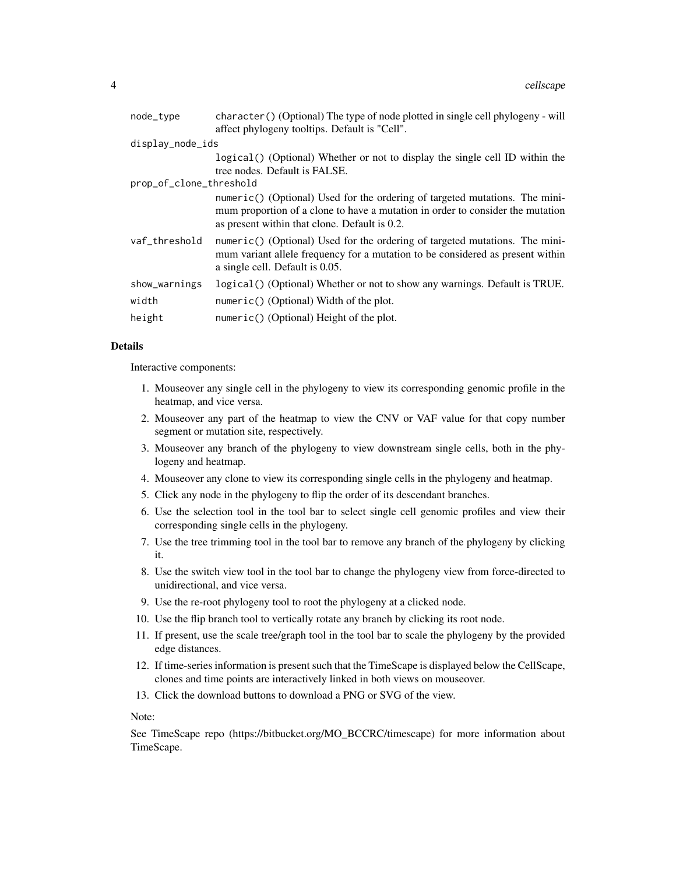| node_type               | character() (Optional) The type of node plotted in single cell phylogeny - will<br>affect phylogeny tooltips. Default is "Cell".                                                                               |
|-------------------------|----------------------------------------------------------------------------------------------------------------------------------------------------------------------------------------------------------------|
| display_node_ids        |                                                                                                                                                                                                                |
|                         | logical() (Optional) Whether or not to display the single cell ID within the<br>tree nodes. Default is FALSE.                                                                                                  |
| prop_of_clone_threshold |                                                                                                                                                                                                                |
|                         | numeric() (Optional) Used for the ordering of targeted mutations. The mini-<br>mum proportion of a clone to have a mutation in order to consider the mutation<br>as present within that clone. Default is 0.2. |
| vaf_threshold           | numeric() (Optional) Used for the ordering of targeted mutations. The mini-<br>mum variant allele frequency for a mutation to be considered as present within<br>a single cell. Default is 0.05.               |
| show_warnings           | logical () (Optional) Whether or not to show any warnings. Default is TRUE.                                                                                                                                    |
| width                   | numeric() (Optional) Width of the plot.                                                                                                                                                                        |
| height                  | numeric() (Optional) Height of the plot.                                                                                                                                                                       |
|                         |                                                                                                                                                                                                                |

#### Details

Interactive components:

- 1. Mouseover any single cell in the phylogeny to view its corresponding genomic profile in the heatmap, and vice versa.
- 2. Mouseover any part of the heatmap to view the CNV or VAF value for that copy number segment or mutation site, respectively.
- 3. Mouseover any branch of the phylogeny to view downstream single cells, both in the phylogeny and heatmap.
- 4. Mouseover any clone to view its corresponding single cells in the phylogeny and heatmap.
- 5. Click any node in the phylogeny to flip the order of its descendant branches.
- 6. Use the selection tool in the tool bar to select single cell genomic profiles and view their corresponding single cells in the phylogeny.
- 7. Use the tree trimming tool in the tool bar to remove any branch of the phylogeny by clicking it.
- 8. Use the switch view tool in the tool bar to change the phylogeny view from force-directed to unidirectional, and vice versa.
- 9. Use the re-root phylogeny tool to root the phylogeny at a clicked node.
- 10. Use the flip branch tool to vertically rotate any branch by clicking its root node.
- 11. If present, use the scale tree/graph tool in the tool bar to scale the phylogeny by the provided edge distances.
- 12. If time-series information is present such that the TimeScape is displayed below the CellScape, clones and time points are interactively linked in both views on mouseover.
- 13. Click the download buttons to download a PNG or SVG of the view.

Note:

See TimeScape repo (https://bitbucket.org/MO\_BCCRC/timescape) for more information about TimeScape.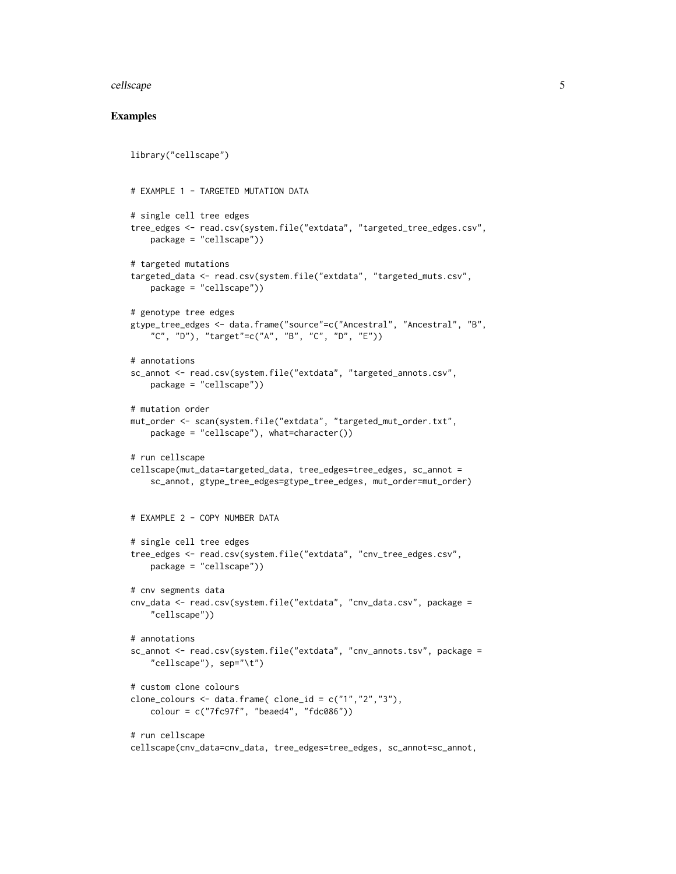#### cellscape 5

#### Examples

```
library("cellscape")
# EXAMPLE 1 - TARGETED MUTATION DATA
# single cell tree edges
tree_edges <- read.csv(system.file("extdata", "targeted_tree_edges.csv",
    package = "cellscape"))
# targeted mutations
targeted_data <- read.csv(system.file("extdata", "targeted_muts.csv",
    package = "cellscape"))
# genotype tree edges
gtype_tree_edges <- data.frame("source"=c("Ancestral", "Ancestral", "B",
    "C", "D"), "target"=c("A", "B", "C", "D", "E"))
# annotations
sc_annot <- read.csv(system.file("extdata", "targeted_annots.csv",
   package = "cellscape"))
# mutation order
mut_order <- scan(system.file("extdata", "targeted_mut_order.txt",
   package = "cellscape"), what=character())
# run cellscape
cellscape(mut_data=targeted_data, tree_edges=tree_edges, sc_annot =
    sc_annot, gtype_tree_edges=gtype_tree_edges, mut_order=mut_order)
# EXAMPLE 2 - COPY NUMBER DATA
# single cell tree edges
tree_edges <- read.csv(system.file("extdata", "cnv_tree_edges.csv",
    package = "cellscape"))
# cnv segments data
cnv_data <- read.csv(system.file("extdata", "cnv_data.csv", package =
    "cellscape"))
# annotations
sc_annot <- read.csv(system.file("extdata", "cnv_annots.tsv", package =
    "cellscope"), sep="\setminus t")# custom clone colours
clone_colours <- data.frame( clone_id = c("1", "2", "3"),
    colour = c("7fc97f", "beaed4", "fdc086"))
# run cellscape
cellscape(cnv_data=cnv_data, tree_edges=tree_edges, sc_annot=sc_annot,
```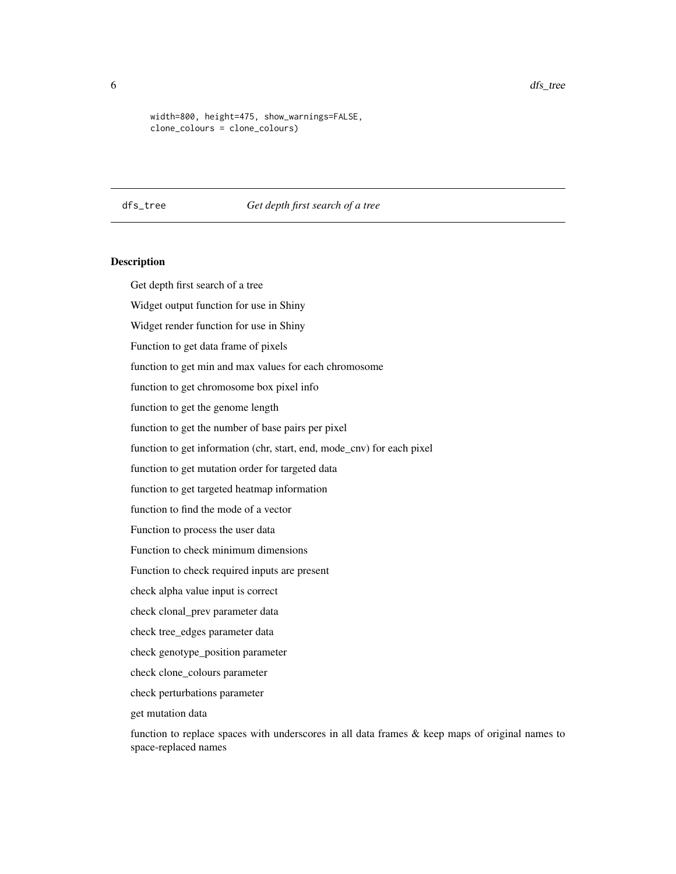<span id="page-5-0"></span>6 dfs\_tree dfs\_tree dfs\_tree dfs\_tree

```
width=800, height=475, show_warnings=FALSE,
clone_colours = clone_colours)
```
#### dfs\_tree *Get depth first search of a tree*

#### **Description**

Get depth first search of a tree

Widget output function for use in Shiny

Widget render function for use in Shiny

Function to get data frame of pixels

function to get min and max values for each chromosome

function to get chromosome box pixel info

function to get the genome length

function to get the number of base pairs per pixel

function to get information (chr, start, end, mode\_cnv) for each pixel

function to get mutation order for targeted data

function to get targeted heatmap information

function to find the mode of a vector

Function to process the user data

Function to check minimum dimensions

Function to check required inputs are present

check alpha value input is correct

check clonal\_prev parameter data

check tree\_edges parameter data

check genotype\_position parameter

check clone\_colours parameter

check perturbations parameter

get mutation data

function to replace spaces with underscores in all data frames  $\&$  keep maps of original names to space-replaced names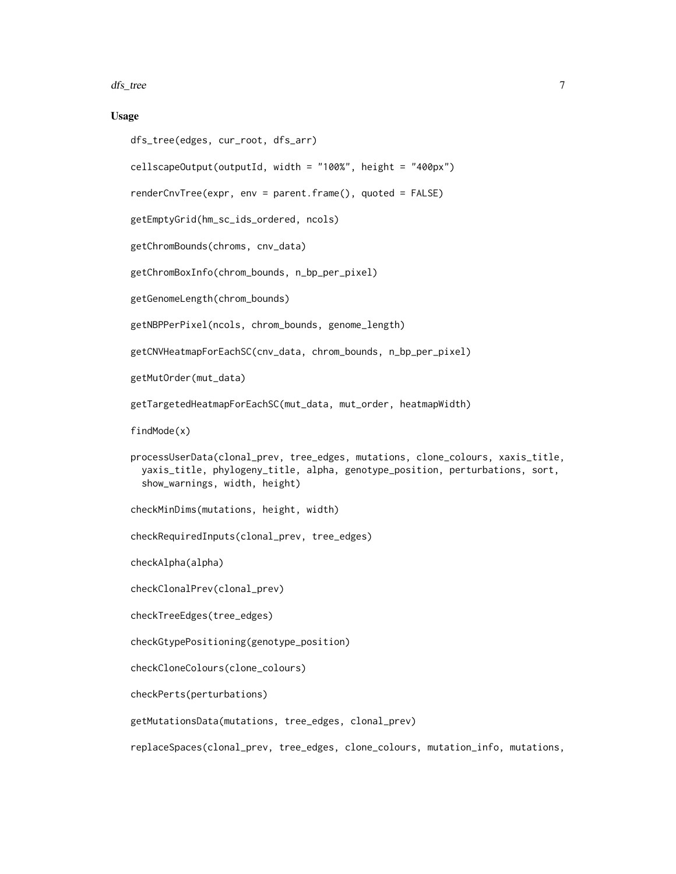dfs\_tree 7

#### Usage

```
dfs_tree(edges, cur_root, dfs_arr)
```

```
cellscapeOutput(outputId, width = "100%", height = "400px")
```

```
renderCnvTree(expr, env = parent.frame(), quoted = FALSE)
```

```
getEmptyGrid(hm_sc_ids_ordered, ncols)
```
getChromBounds(chroms, cnv\_data)

getChromBoxInfo(chrom\_bounds, n\_bp\_per\_pixel)

getGenomeLength(chrom\_bounds)

getNBPPerPixel(ncols, chrom\_bounds, genome\_length)

getCNVHeatmapForEachSC(cnv\_data, chrom\_bounds, n\_bp\_per\_pixel)

getMutOrder(mut\_data)

```
getTargetedHeatmapForEachSC(mut_data, mut_order, heatmapWidth)
```
findMode(x)

```
processUserData(clonal_prev, tree_edges, mutations, clone_colours, xaxis_title,
 yaxis_title, phylogeny_title, alpha, genotype_position, perturbations, sort,
 show_warnings, width, height)
```
checkMinDims(mutations, height, width)

checkRequiredInputs(clonal\_prev, tree\_edges)

checkAlpha(alpha)

checkClonalPrev(clonal\_prev)

checkTreeEdges(tree\_edges)

```
checkGtypePositioning(genotype_position)
```

```
checkCloneColours(clone_colours)
```
checkPerts(perturbations)

getMutationsData(mutations, tree\_edges, clonal\_prev)

replaceSpaces(clonal\_prev, tree\_edges, clone\_colours, mutation\_info, mutations,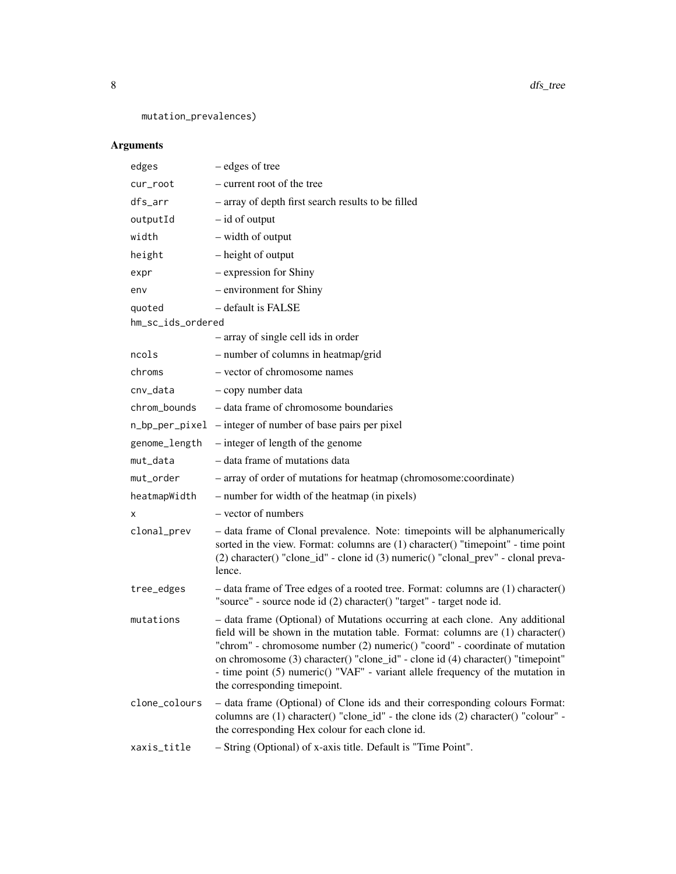8 dfs\_tree

mutation\_prevalences)

### Arguments

| edges             | - edges of tree                                                                                                                                                                                                                                                                                                                                                                                                                                   |
|-------------------|---------------------------------------------------------------------------------------------------------------------------------------------------------------------------------------------------------------------------------------------------------------------------------------------------------------------------------------------------------------------------------------------------------------------------------------------------|
| cur_root          | - current root of the tree                                                                                                                                                                                                                                                                                                                                                                                                                        |
| dfs_arr           | - array of depth first search results to be filled                                                                                                                                                                                                                                                                                                                                                                                                |
| outputId          | $-$ id of output                                                                                                                                                                                                                                                                                                                                                                                                                                  |
| width             | - width of output                                                                                                                                                                                                                                                                                                                                                                                                                                 |
| height            | - height of output                                                                                                                                                                                                                                                                                                                                                                                                                                |
| expr              | - expression for Shiny                                                                                                                                                                                                                                                                                                                                                                                                                            |
| env               | - environment for Shiny                                                                                                                                                                                                                                                                                                                                                                                                                           |
| quoted            | - default is FALSE                                                                                                                                                                                                                                                                                                                                                                                                                                |
| hm_sc_ids_ordered |                                                                                                                                                                                                                                                                                                                                                                                                                                                   |
|                   | - array of single cell ids in order                                                                                                                                                                                                                                                                                                                                                                                                               |
| ncols             | - number of columns in heatmap/grid                                                                                                                                                                                                                                                                                                                                                                                                               |
| chroms            | - vector of chromosome names                                                                                                                                                                                                                                                                                                                                                                                                                      |
| cnv_data          | - copy number data                                                                                                                                                                                                                                                                                                                                                                                                                                |
| chrom_bounds      | - data frame of chromosome boundaries                                                                                                                                                                                                                                                                                                                                                                                                             |
|                   | n_bp_per_pixel – integer of number of base pairs per pixel                                                                                                                                                                                                                                                                                                                                                                                        |
| genome_length     | $-$ integer of length of the genome                                                                                                                                                                                                                                                                                                                                                                                                               |
| mut_data          | - data frame of mutations data                                                                                                                                                                                                                                                                                                                                                                                                                    |
| mut_order         | - array of order of mutations for heatmap (chromosome: coordinate)                                                                                                                                                                                                                                                                                                                                                                                |
| heatmapWidth      | - number for width of the heatmap (in pixels)                                                                                                                                                                                                                                                                                                                                                                                                     |
| х                 | - vector of numbers                                                                                                                                                                                                                                                                                                                                                                                                                               |
| clonal_prev       | - data frame of Clonal prevalence. Note: timepoints will be alphanumerically<br>sorted in the view. Format: columns are (1) character() "timepoint" - time point<br>(2) character() "clone_id" - clone id (3) numeric() "clonal_prev" - clonal preva-<br>lence.                                                                                                                                                                                   |
| tree_edges        | - data frame of Tree edges of a rooted tree. Format: columns are (1) character()<br>"source" - source node id (2) character() "target" - target node id.                                                                                                                                                                                                                                                                                          |
| mutations         | - data frame (Optional) of Mutations occurring at each clone. Any additional<br>field will be shown in the mutation table. Format: columns are (1) character()<br>"chrom" - chromosome number (2) numeric() "coord" - coordinate of mutation<br>on chromosome (3) character() "clone_id" - clone id (4) character() "timepoint'<br>- time point (5) numeric() "VAF" - variant allele frequency of the mutation in<br>the corresponding timepoint. |
| clone_colours     | - data frame (Optional) of Clone ids and their corresponding colours Format:<br>columns are (1) character() "clone_id" - the clone ids (2) character() "colour" -<br>the corresponding Hex colour for each clone id.                                                                                                                                                                                                                              |
| xaxis_title       | - String (Optional) of x-axis title. Default is "Time Point".                                                                                                                                                                                                                                                                                                                                                                                     |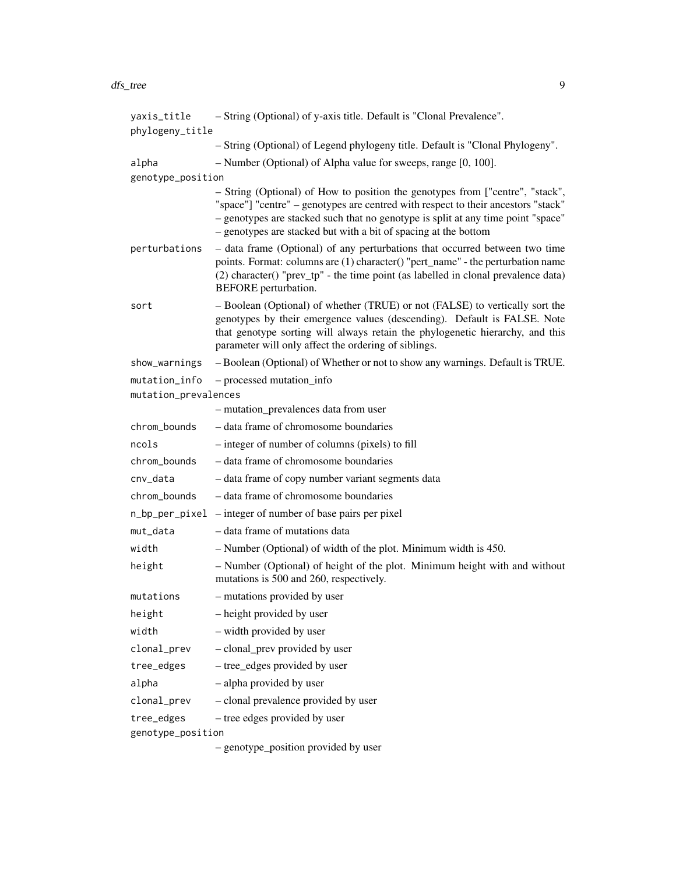#### dfs\_tree 9

| yaxis_title          | - String (Optional) of y-axis title. Default is "Clonal Prevalence".                                                                                                                                                                                                                                                      |
|----------------------|---------------------------------------------------------------------------------------------------------------------------------------------------------------------------------------------------------------------------------------------------------------------------------------------------------------------------|
| phylogeny_title      |                                                                                                                                                                                                                                                                                                                           |
|                      | - String (Optional) of Legend phylogeny title. Default is "Clonal Phylogeny".                                                                                                                                                                                                                                             |
| alpha                | - Number (Optional) of Alpha value for sweeps, range [0, 100].                                                                                                                                                                                                                                                            |
| genotype_position    |                                                                                                                                                                                                                                                                                                                           |
|                      | - String (Optional) of How to position the genotypes from ["centre", "stack",<br>"space"] "centre" – genotypes are centred with respect to their ancestors "stack"<br>- genotypes are stacked such that no genotype is split at any time point "space"<br>- genotypes are stacked but with a bit of spacing at the bottom |
| perturbations        | - data frame (Optional) of any perturbations that occurred between two time<br>points. Format: columns are (1) character() "pert_name" - the perturbation name<br>(2) character() "prev_tp" - the time point (as labelled in clonal prevalence data)<br>BEFORE perturbation.                                              |
| sort                 | - Boolean (Optional) of whether (TRUE) or not (FALSE) to vertically sort the<br>genotypes by their emergence values (descending). Default is FALSE. Note<br>that genotype sorting will always retain the phylogenetic hierarchy, and this<br>parameter will only affect the ordering of siblings.                         |
| show_warnings        | - Boolean (Optional) of Whether or not to show any warnings. Default is TRUE.                                                                                                                                                                                                                                             |
| mutation_info        | - processed mutation_info                                                                                                                                                                                                                                                                                                 |
| mutation_prevalences |                                                                                                                                                                                                                                                                                                                           |
|                      | - mutation_prevalences data from user                                                                                                                                                                                                                                                                                     |
| chrom_bounds         | – data frame of chromosome boundaries                                                                                                                                                                                                                                                                                     |
| ncols                | - integer of number of columns (pixels) to fill                                                                                                                                                                                                                                                                           |
| chrom_bounds         | - data frame of chromosome boundaries                                                                                                                                                                                                                                                                                     |
| cnv_data             | - data frame of copy number variant segments data                                                                                                                                                                                                                                                                         |
| chrom_bounds         | - data frame of chromosome boundaries                                                                                                                                                                                                                                                                                     |
|                      | n_bp_per_pixel – integer of number of base pairs per pixel                                                                                                                                                                                                                                                                |
| mut_data             | - data frame of mutations data                                                                                                                                                                                                                                                                                            |
| width                | - Number (Optional) of width of the plot. Minimum width is 450.                                                                                                                                                                                                                                                           |
| height               | - Number (Optional) of height of the plot. Minimum height with and without<br>mutations is 500 and 260, respectively.                                                                                                                                                                                                     |
| mutations            | - mutations provided by user                                                                                                                                                                                                                                                                                              |
| height               | - height provided by user                                                                                                                                                                                                                                                                                                 |
| width                | - width provided by user                                                                                                                                                                                                                                                                                                  |
| clonal_prev          | - clonal_prev provided by user                                                                                                                                                                                                                                                                                            |
| tree_edges           | - tree_edges provided by user                                                                                                                                                                                                                                                                                             |
| alpha                | - alpha provided by user                                                                                                                                                                                                                                                                                                  |
| clonal_prev          | - clonal prevalence provided by user                                                                                                                                                                                                                                                                                      |
| tree_edges           | - tree edges provided by user                                                                                                                                                                                                                                                                                             |
| genotype_position    |                                                                                                                                                                                                                                                                                                                           |
|                      | - genotype_position provided by user                                                                                                                                                                                                                                                                                      |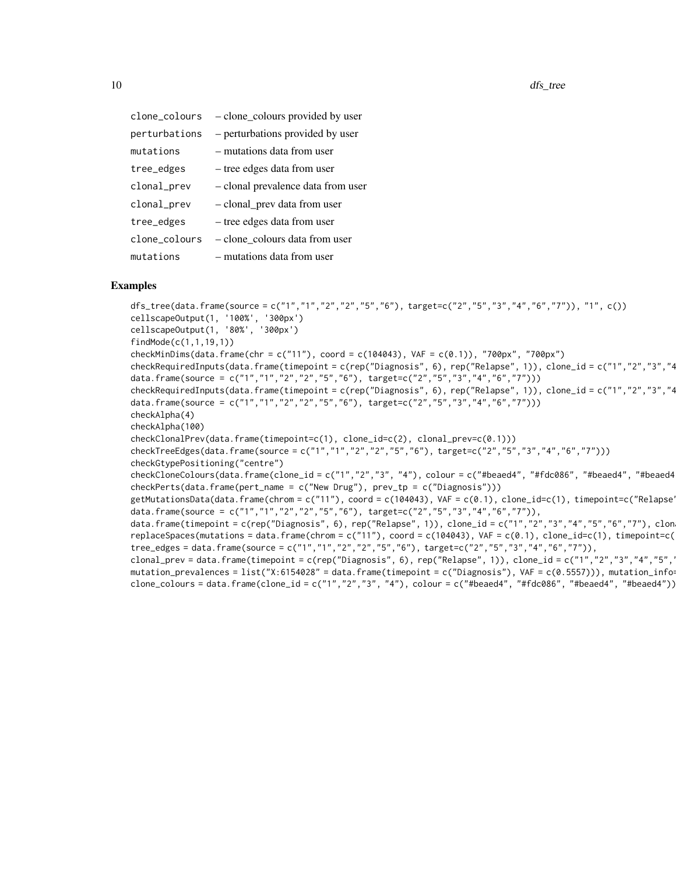| clone_colours | - clone_colours provided by user   |
|---------------|------------------------------------|
| perturbations | - perturbations provided by user   |
| mutations     | - mutations data from user         |
| tree_edges    | - tree edges data from user        |
| clonal_prev   | - clonal prevalence data from user |
| clonal_prev   | - clonal_prev data from user       |
| tree_edges    | - tree edges data from user        |
| clone_colours | - clone colours data from user     |
| mutations     | - mutations data from user         |

#### Examples

```
dfs_tree(data.frame(source = c("1","1","2","2","5","6"), target=c("2","5","3","4","6","7")), "1", c())
cellscapeOutput(1, '100%', '300px')
cellscapeOutput(1, '80%', '300px')
findMode(c(1,1,19,1))
checkMinDims(data.frame(chr = c("11"), coord = c(104043), VAF = c(0.1)), "700px", "700px")
checkRequiredInputs(data.frame(timepoint = c(rep("Diagnosis", 6), rep("Relapse", 1)), clone_id = c("1","2","3","4
data.frame(source = c("1","1","2","2","5","6"), target=c("2","5","3","4","6","7")))
checkRequiredInputs(data.frame(timepoint = c(rep("Diagnosis", 6), rep("Relapse", 1)), clone_id = c("1","2","3","4
data.frame(source = c("1","1","2","2","5","6"), target=c("2","5","3","4","6","7")))
checkAlpha(4)
checkAlpha(100)
checkClonalPrev(data.frame(timepoint=c(1), clone_id=c(2), clonal_prev=c(0.1)))
checkTreeEdges(data.frame(source = c("1","1","2","2","5","6"), target=c("2","5","3","4","6","7")))
checkGtypePositioning("centre")
checkCloneColours(data.frame(clone_id = c("1","2","3", "4"), colour = c("#beaed4", "#fdc086", "#beaed4", "#beaed4
checkPerts(data.frame(pert_name = c("New Drug"), prev_t = c("Diagnosis")))
getMutationsData(data.frame(chrom = c("11"), coord = c(104043), VAF = c(0.1), clone_id=c(1), timepoint=c("Relapse
data.frame(source = c("1","1","2","2","5","6"), target=c("2","5","3","4","6","7")),
data.frame(timepoint = c(rep("Diagnosis", 6), rep("Relapse", 1)), clone_id = c("1","2","3","4","5","6","7"), clon
replaceSpaces(mutations = data.frame(chrom = c("11"), coord = c(104043), VAF = c(0.1), clone_id=c(1), timepoint=c(
tree_edges = data.frame(source = c("1","1","2","2","5","6"), target=c("2","5","3","4","6","7")),
clonal_prev = data.frame(timepoint = c(rep("Diagnosis", 6), rep("Relapse", 1)), clone_id = c("1","2","3","4","5","
mutation_prevalences = list("X:6154028" = data.frame(timepoint = c("Diagnosis"), VAF = c(0.5557))), mutation_info=
clone_colours = data.frame(clone_id = c("1","2","3", "4"), colour = c("#beaed4", "#fdc086", "#beaed4", "#beaed4"))
```